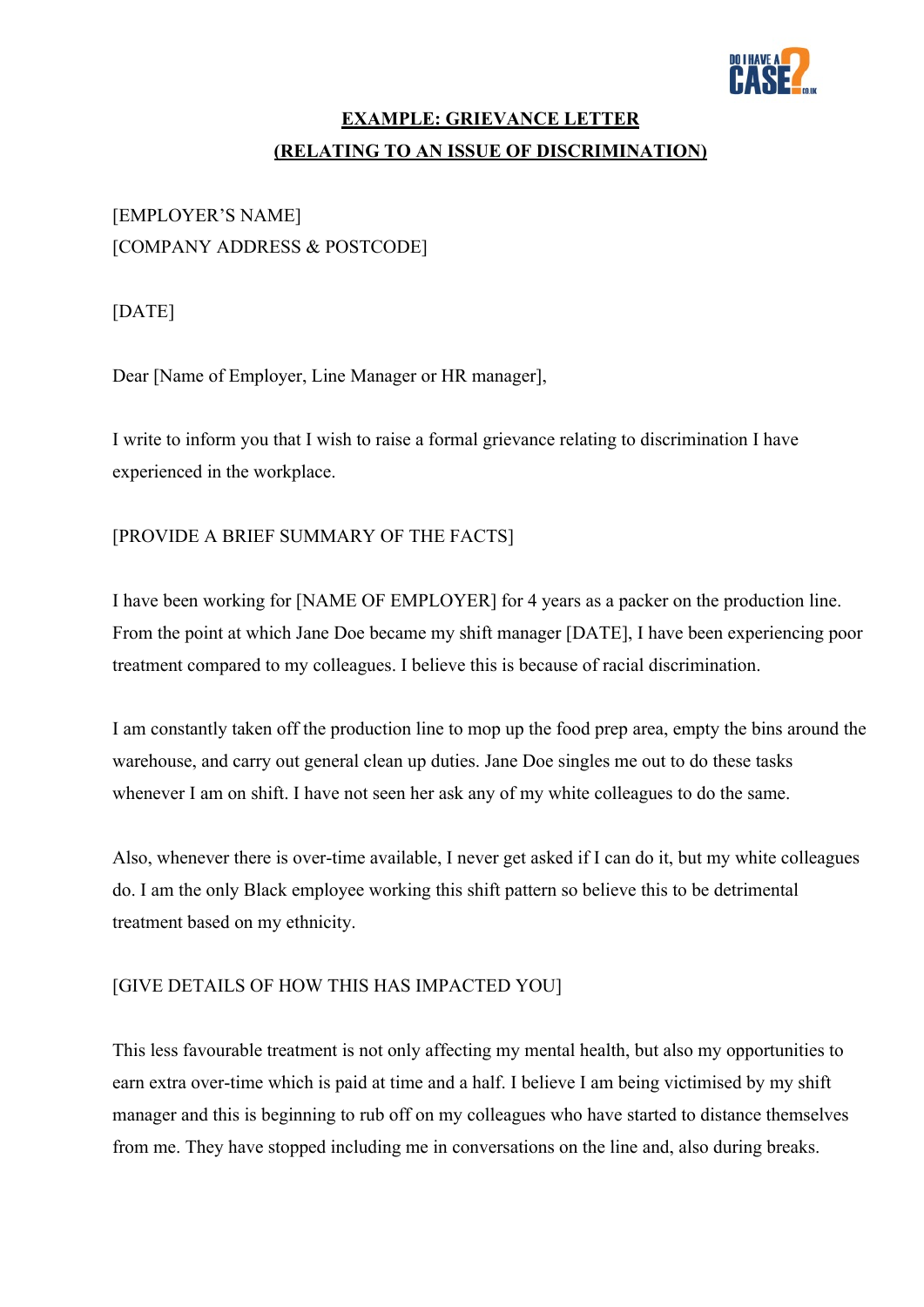

### **EXAMPLE: GRIEVANCE LETTER (RELATING TO AN ISSUE OF DISCRIMINATION)**

# [EMPLOYER'S NAME] [COMPANY ADDRESS & POSTCODE]

[DATE]

Dear [Name of Employer, Line Manager or HR manager],

I write to inform you that I wish to raise a formal grievance relating to discrimination I have experienced in the workplace.

### [PROVIDE A BRIEF SUMMARY OF THE FACTS]

I have been working for [NAME OF EMPLOYER] for 4 years as a packer on the production line. From the point at which Jane Doe became my shift manager [DATE], I have been experiencing poor treatment compared to my colleagues. I believe this is because of racial discrimination.

I am constantly taken off the production line to mop up the food prep area, empty the bins around the warehouse, and carry out general clean up duties. Jane Doe singles me out to do these tasks whenever I am on shift. I have not seen her ask any of my white colleagues to do the same.

Also, whenever there is over-time available, I never get asked if I can do it, but my white colleagues do. I am the only Black employee working this shift pattern so believe this to be detrimental treatment based on my ethnicity.

#### [GIVE DETAILS OF HOW THIS HAS IMPACTED YOU]

This less favourable treatment is not only affecting my mental health, but also my opportunities to earn extra over-time which is paid at time and a half. I believe I am being victimised by my shift manager and this is beginning to rub off on my colleagues who have started to distance themselves from me. They have stopped including me in conversations on the line and, also during breaks.